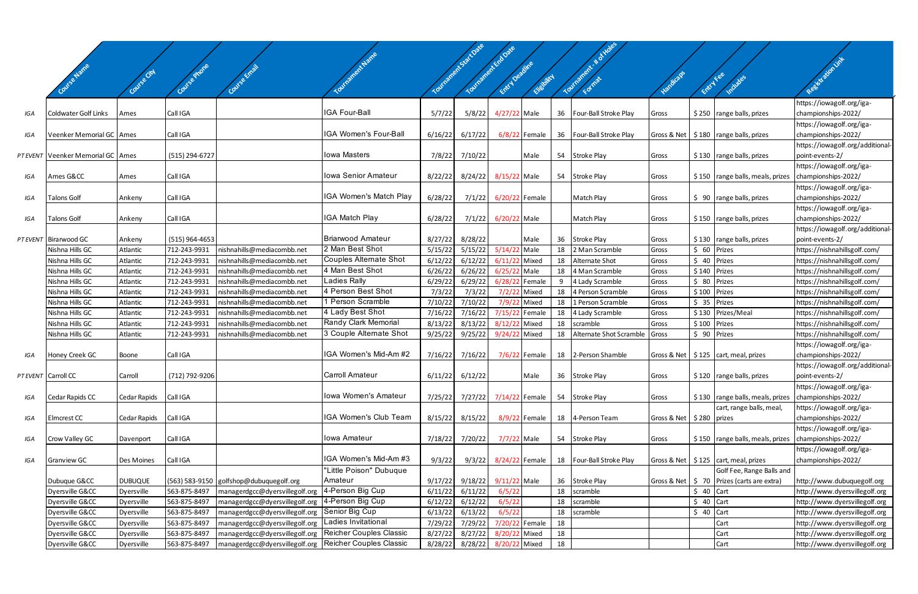|     |                                     |                |                  |                                                          |                                                  |         | Yourianchi-Sartosie | Tourisoment Endowe             |                 |    |                            |                            |               |                                                |                                                     |
|-----|-------------------------------------|----------------|------------------|----------------------------------------------------------|--------------------------------------------------|---------|---------------------|--------------------------------|-----------------|----|----------------------------|----------------------------|---------------|------------------------------------------------|-----------------------------------------------------|
|     |                                     |                |                  |                                                          |                                                  |         |                     |                                |                 |    | Tourisment & d'            |                            |               |                                                | Resistation line                                    |
|     |                                     |                |                  |                                                          |                                                  |         |                     | Entry Deadline                 | Elisbritch      |    |                            |                            | Entry Fee     |                                                |                                                     |
|     |                                     |                |                  |                                                          |                                                  |         |                     |                                |                 |    |                            |                            |               | Includes                                       |                                                     |
|     |                                     |                |                  |                                                          |                                                  |         |                     |                                |                 |    |                            |                            |               |                                                | https://iowagolf.org/iga-                           |
| IGA | Coldwater Golf Links                | Ames           | Call IGA         |                                                          | IGA Four-Ball                                    | 5/7/22  |                     | 5/8/22 4/27/22 Male            |                 | 36 | Four-Ball Stroke Play      | Gross                      |               | \$250 range balls, prizes                      | championships-2022/                                 |
|     |                                     |                |                  |                                                          | IGA Women's Four-Ball                            |         |                     |                                |                 |    |                            |                            |               |                                                | https://iowagolf.org/iga-                           |
| IGA | Veenker Memorial GC Ames            |                | Call IGA         |                                                          |                                                  | 6/16/22 | 6/17/22             |                                | $6/8/22$ Female |    | 36 Four-Ball Stroke Play   |                            |               | Gross & Net   \$180   range balls, prizes      | championships-2022/                                 |
|     | PT EVENT Veenker Memorial GC   Ames |                | (515) 294-6727   |                                                          | <b>lowa Masters</b>                              |         | 7/8/22 7/10/22      |                                | Male            |    | 54 Stroke Play             | Gross                      |               | $$130$ range balls, prizes                     | https://iowagolf.org/additional-<br>point-events-2/ |
|     |                                     |                |                  |                                                          |                                                  |         |                     |                                |                 |    |                            |                            |               |                                                | https://iowagolf.org/iga-                           |
| IGA | Ames G&CC                           | Ames           | Call IGA         |                                                          | Iowa Senior Amateur                              | 8/22/22 |                     | 8/24/22 8/15/22 Male           |                 |    | 54 Stroke Play             | Gross                      |               | $$150$ range balls, meals, prizes              | championships-2022/                                 |
|     |                                     |                |                  |                                                          |                                                  |         |                     |                                |                 |    |                            |                            |               |                                                | https://iowagolf.org/iga-                           |
| IGA | <b>Talons Golf</b>                  | Ankeny         | Call IGA         |                                                          | IGA Women's Match Play                           | 6/28/22 | 7/1/22              | 6/20/22 Female                 |                 |    | Match Play                 | Gross                      |               | $\frac{1}{2}$ 90   range balls, prizes         | championships-2022/                                 |
|     |                                     |                |                  |                                                          |                                                  |         |                     |                                |                 |    |                            |                            |               |                                                | https://iowagolf.org/iga-                           |
| IGA | <b>Talons Golf</b>                  | Ankeny         | Call IGA         |                                                          | <b>IGA Match Play</b>                            | 6/28/22 |                     | 7/1/22 6/20/22 Male            |                 |    | Match Play                 | Gross                      |               | $$150$ range balls, prizes                     | championships-2022/                                 |
|     |                                     |                |                  |                                                          |                                                  |         |                     |                                |                 |    |                            |                            |               |                                                | https://iowagolf.org/additional-                    |
|     | PT EVENT Birarwood GC               | Ankeny         | $(515)$ 964-4653 |                                                          | <b>Briarwood Amateur</b>                         | 8/27/22 | 8/28/22             |                                | Male            | 36 | Stroke Play                | Gross                      |               | \$130 range balls, prizes                      | point-events-2/                                     |
|     | Nishna Hills GC                     | Atlantic       | 712-243-9931     | nishnahills@mediacombb.net                               | 2 Man Best Shot<br><b>Couples Alternate Shot</b> | 5/15/22 | 5/15/22             | 5/14/22 Male                   |                 | 18 | 2 Man Scramble             | Gross                      | $$60$ Prizes  |                                                | https://nishnahillsgolf.com/                        |
|     | Nishna Hills GC                     | Atlantic       | 712-243-9931     | nishnahills@mediacombb.net                               | 4 Man Best Shot                                  | 6/12/22 | 6/12/22             | 6/11/22 Mixed                  |                 | 18 | Alternate Shot             | Gross                      | $$40$ Prizes  |                                                | https://nishnahillsgolf.com/                        |
|     | Nishna Hills GC                     | Atlantic       | 712-243-9931     | nishnahills@mediacombb.net                               | Ladies Rally                                     | 6/26/22 | 6/26/22             | 6/25/22 Male                   |                 | 18 | 4 Man Scramble             | Gross                      | \$140 Prizes  |                                                | https://nishnahillsgolf.com/                        |
|     | Nishna Hills GC                     | Atlantic       | 712-243-9931     | nishnahills@mediacombb.net                               | 4 Person Best Shot                               | 6/29/22 | 6/29/22             | 6/28/22                        | Female          |    | 4 Lady Scramble            | Gross                      | \$ 80 Prizes  |                                                | https://nishnahillsgolf.com/                        |
|     | Nishna Hills GC                     | Atlantic       | 712-243-9931     | nishnahills@mediacombb.net                               | 1 Person Scramble                                | 7/3/22  | 7/3/22              | 7/2/2                          | Mixed           | 18 | 4 Person Scramble          | Gross                      | $$100$ Prizes |                                                | https://nishnahillsgolf.com/                        |
|     | Nishna Hills GC                     | Atlantic       | 712-243-9931     | nishnahills@mediacombb.net                               |                                                  | 7/10/22 | 7/10/22             | 7/9/22 Mixed                   |                 | 18 | 1 Person Scramble          | Gross                      | \$ 35 Prizes  |                                                | https://nishnahillsgolf.com/                        |
|     | Nishna Hills GC                     | Atlantic       | 712-243-9931     | nishnahills@mediacombb.net                               | 4 Lady Best Shot                                 | 7/16/22 | 7/16/22             | 7/15/22                        | Female          | 18 | 4 Lady Scramble            | Gross                      |               | \$130 Prizes/Meal                              | https://nishnahillsgolf.com/                        |
|     | Nishna Hills GC                     | Atlantic       | 712-243-9931     | nishnahills@mediacombb.net                               | Randy Clark Memorial                             | 8/13/22 | 8/13/22             | 8/12/2                         | Mixed           | 18 | scramble                   | Gross                      | \$100 Prizes  |                                                | https://nishnahillsgolf.com/                        |
|     | Nishna Hills GC                     | Atlantic       | 712-243-9931     | nishnahills@mediacombb.net                               | 3 Couple Alternate Shot                          | 9/25/22 | 9/25/22             | 9/24/22 Mixed                  |                 | 18 | Alternate Shot Scramble    | Gross                      | \$ 90 Prizes  |                                                | https://nishnahillsgolf.com/                        |
|     |                                     |                |                  |                                                          |                                                  |         |                     |                                |                 |    |                            |                            |               |                                                | https://iowagolf.org/iga-                           |
| IGA | Honey Creek GC                      | Boone          | Call IGA         |                                                          | IGA Women's Mid-Am #2                            | 7/16/22 | 7/16/22             |                                | 7/6/22 Female   |    | 18 2-Person Shamble        |                            |               | Gross & Net   \$125   cart, meal, prizes       | championships-2022/                                 |
|     |                                     |                |                  |                                                          |                                                  |         |                     |                                |                 |    |                            |                            |               |                                                | https://iowagolf.org/additional-                    |
|     | PT EVENT Carroll CC                 | Carroll        | (712) 792-9206   |                                                          | <b>Carroll Amateur</b>                           | 6/11/22 | 6/12/22             |                                | Male            |    | 36 Stroke Play             | Gross                      |               | $\frac{1}{2}$ \$120   range balls, prizes      | point-events-2/                                     |
|     |                                     |                |                  |                                                          | Iowa Women's Amateur                             |         |                     |                                |                 |    |                            |                            |               |                                                | https://iowagolf.org/iga-                           |
| IGA | Cedar Rapids CC                     | Cedar Rapids   | Call IGA         |                                                          |                                                  |         |                     | 7/25/22 7/27/22 7/14/22 Female |                 |    | 54 Stroke Play             | Gross                      |               | $$130$ range balls, meals, prizes              | championships-2022/                                 |
|     |                                     |                |                  |                                                          | IGA Women's Club Team                            |         |                     |                                |                 |    |                            |                            |               | cart, range balls, meal,                       | https://iowagolf.org/iga-                           |
| IGA | Elmcrest CC                         | Cedar Rapids   | Call IGA         |                                                          |                                                  | 8/15/22 | 8/15/22             |                                | 8/9/22 Female   |    | 18 4-Person Team           | Gross & Net   \$280 prizes |               |                                                | championships-2022/                                 |
|     |                                     |                |                  |                                                          | Iowa Amateur                                     |         |                     | 7/7/22 Male                    |                 |    |                            |                            |               |                                                | https://iowagolf.org/iga-<br>championships-2022/    |
| IGA | Crow Valley GC                      | Davenport      | Call IGA         |                                                          |                                                  | 7/18/22 | 7/20/22             |                                |                 |    | 54 Stroke Play             | Gross                      |               | \$150   range balls, meals, prizes             | https://iowagolf.org/iga-                           |
| IGA | Granview GC                         | Des Moines     | Call IGA         |                                                          | IGA Women's Mid-Am #3                            | 9/3/22  |                     | 9/3/22 8/24/22 Female          |                 |    | 18   Four-Ball Stroke Play |                            |               | Gross & Net   \$125   cart, meal, prizes       | championships-2022/                                 |
|     |                                     |                |                  |                                                          | "Little Poison" Dubuque                          |         |                     |                                |                 |    |                            |                            |               | Golf Fee, Range Balls and                      |                                                     |
|     | Dubuque G&CC                        | <b>DUBUQUE</b> |                  | (563) 583-9150 golfshop@dubuquegolf.org                  | Amateur                                          | 9/17/22 | 9/18/22             | 9/11/22 Male                   |                 | 36 | Stroke Play                |                            |               | Gross & Net   \$ 70   Prizes (carts are extra) | http://www.dubuquegolf.org                          |
|     | Dyersville G&CC                     | Dyersville     | 563-875-8497     | managerdgcc@dyersvillegolf.org                           | 4-Person Big Cup                                 | 6/11/22 | 6/11/22             | 6/5/22                         |                 | 18 | scramble                   |                            | $$40$ Cart    |                                                | http://www.dyersvillegolf.org                       |
|     | Dyersville G&CC                     | Dyersville     | 563-875-8497     | managerdgcc@dyersvillegolf.org                           | 4-Person Big Cup                                 | 6/12/22 | 6/12/22             | 6/5/22                         |                 | 18 | scramble                   |                            | $$40$ Cart    |                                                | http://www.dyersvillegolf.org                       |
|     | Dyersville G&CC                     | Dyersville     | 563-875-8497     | managerdgcc@dyersvillegolf.org                           | Senior Big Cup                                   | 6/13/22 | 6/13/22             | 6/5/22                         |                 | 18 | scramble                   |                            | $$40$ Cart    |                                                | http://www.dyersvillegolf.org                       |
|     | Dyersville G&CC                     | Dyersville     | 563-875-8497     | managerdgcc@dyersvillegolf.org                           | Ladies Invitational                              | 7/29/22 | 7/29/22             | 7/20/22 Female                 |                 | 18 |                            |                            |               | Cart                                           | http://www.dyersvillegolf.org                       |
|     | Dyersville G&CC                     | Dyersville     | 563-875-8497     | managerdgcc@dyersvillegolf.org                           | Reicher Couples Classic                          | 8/27/22 | 8/27/22             | 8/20/22 Mixed                  |                 | 18 |                            |                            |               | Cart                                           | http://www.dyersvillegolf.org                       |
|     | Dyersville G&CC                     | Dyersville     | 563-875-8497     | managerdgcc@dyersvillegolf.org   Reicher Couples Classic |                                                  | 8/28/22 | 8/28/22             | 8/20/22 Mixed                  |                 | 18 |                            |                            |               | Cart                                           | http://www.dyersvillegolf.org                       |
|     |                                     |                |                  |                                                          |                                                  |         |                     |                                |                 |    |                            |                            |               |                                                |                                                     |

and the state of the state of the

 $\sim$   $\sim$   $\sim$   $\sim$   $\sim$   $\sim$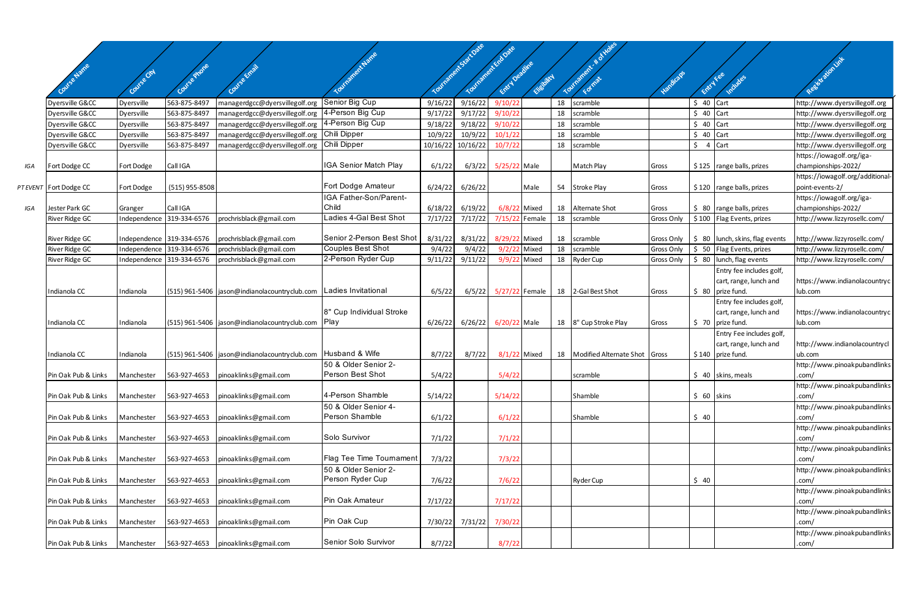|     |                        |              |                           |                                                 |                           |          |                                              |                |             |    | AHORS                                |            |             |                                   |                                 |
|-----|------------------------|--------------|---------------------------|-------------------------------------------------|---------------------------|----------|----------------------------------------------|----------------|-------------|----|--------------------------------------|------------|-------------|-----------------------------------|---------------------------------|
|     |                        |              |                           |                                                 |                           |          |                                              |                |             |    |                                      |            |             |                                   |                                 |
|     |                        |              |                           |                                                 |                           |          |                                              |                |             |    |                                      |            |             |                                   |                                 |
|     | Course Names           | Covise City  |                           |                                                 | ividadent Name            |          | Tourisment State Oate<br>Tourisment Endorsie | Entry Deptine  | Eligibility |    | Tourisment & d                       | Vandicaps  | Entry Fee   | Includes                          | Registration Link               |
|     |                        |              |                           |                                                 |                           |          |                                              |                |             |    |                                      |            |             |                                   |                                 |
|     | Dyersville G&CC        | Dyersville   | 563-875-8497              | managerdgcc@dyersvillegolf.org                  | Senior Big Cup            | 9/16/22  | 9/16/22                                      | 9/10/22        |             | 18 | scramble                             |            | $$40$ Cart  |                                   | http://www.dyersvillegolf.org   |
|     | Dyersville G&CC        | Dyersville   | 563-875-8497              | managerdgcc@dyersvillegolf.org                  | 4-Person Big Cup          | 9/17/22  | 9/17/22                                      | 9/10/22        |             | 18 | scramble                             |            | $$40$ Cart  |                                   | http://www.dyersvillegolf.org   |
|     | Dyersville G&CC        | Dyersville   | 563-875-8497              | managerdgcc@dyersvillegolf.org                  | 4-Person Big Cup          | 9/18/22  | 9/18/22                                      | 9/10/22        |             | 18 | scramble                             |            | $$40$ Cart  |                                   | http://www.dyersvillegolf.org   |
|     | Dyersville G&CC        | Dyersville   | 563-875-849               | managerdgcc@dyersvillegolf.org                  | Chili Dipper              | 10/9/22  | 10/9/22                                      | 10/1/22        |             | 18 | scramble                             |            | $$40$ Cart  |                                   | http://www.dyersvillegolf.org   |
|     | Dyersville G&CC        | Dyersville   | 563-875-8497              | managerdgcc@dyersvillegolf.org                  | Chili Dipper              | 10/16/22 | 10/16/22                                     | 10/7/22        |             | 18 | scramble                             |            | $$4$ Cart   |                                   | http://www.dyersvillegolf.org   |
|     |                        |              |                           |                                                 |                           |          |                                              |                |             |    |                                      |            |             |                                   | https://iowagolf.org/iga-       |
| IGA | Fort Dodge CC          | Fort Dodge   | Call IGA                  |                                                 | IGA Senior Match Play     | 6/1/22   | 6/3/22                                       | 5/25/22 Male   |             |    | Match Play                           | Gross      |             | $$125$ range balls, prizes        | championships-2022/             |
|     |                        |              |                           |                                                 |                           |          |                                              |                |             |    |                                      |            |             |                                   | https://iowagolf.org/additional |
|     | PT EVENT Fort Dodge CC | Fort Dodge   | $(515)$ 955-8508          |                                                 | Fort Dodge Amateur        | 6/24/22  | 6/26/22                                      |                | Male        |    | 54 Stroke Play                       | Gross      |             | $$120$ range balls, prizes        | point-events-2/                 |
|     |                        |              |                           |                                                 | IGA Father-Son/Parent-    |          |                                              |                |             |    |                                      |            |             |                                   | https://iowagolf.org/iga-       |
| IGA | Jester Park GC         | Granger      | Call IGA                  |                                                 | Child                     | 6/18/22  | 6/19/22                                      | $6/8/22$ Mixed |             |    | 18 Alternate Shot                    | Gross      |             | $$80$ range balls, prizes         | championships-2022/             |
|     | <b>River Ridge GC</b>  | Independence | 319-334-6576              | prochrisblack@gmail.com                         | Ladies 4-Gal Best Shot    | 7/17/22  | 7/17/22                                      | 7/15/22 Female |             | 18 | scramble                             | Gross Only |             | \$100 Flag Events, prizes         | http://www.lizzyrosellc.com/    |
|     |                        |              |                           |                                                 |                           |          |                                              |                |             |    |                                      |            |             |                                   |                                 |
|     | River Ridge GC         |              | Independence 319-334-6576 | prochrisblack@gmail.com                         | Senior 2-Person Best Shot | 8/31/22  | 8/31/22                                      | 8/29/22 Mixed  |             |    | 18 scramble                          | Gross Only |             | \$ 80   lunch, skins, flag events | http://www.lizzyrosellc.com/    |
|     | River Ridge GC         | Independence | 319-334-6576              | prochrisblack@gmail.com                         | <b>Couples Best Shot</b>  | 9/4/22   | 9/4/22                                       | 9/2/22 Mixed   |             | 18 | scramble                             | Gross Only |             | \$ 50 Flag Events, prizes         | http://www.lizzyrosellc.com/    |
|     | River Ridge GC         | Independence | 319-334-6576              | prochrisblack@gmail.com                         | 2-Person Ryder Cup        | 9/11/22  | 9/11/22                                      | 9/9/22 Mixed   |             | 18 | <b>Ryder Cup</b>                     | Gross Only |             | $$80$ lunch, flag events          | http://www.lizzyrosellc.com/    |
|     |                        |              |                           |                                                 |                           |          |                                              |                |             |    |                                      |            |             | Entry fee includes golf,          |                                 |
|     |                        |              |                           |                                                 |                           |          |                                              |                |             |    |                                      |            |             | cart, range, lunch and            | https://www.indianolacountryc   |
|     | Indianola CC           | Indianola    |                           | (515) 961-5406   jason@indianolacountryclub.com | Ladies Invitational       | 6/5/22   | 6/5/22                                       | 5/27/22 Female |             |    | 18 2-Gal Best Shot                   | Gross      |             | $$80$ prize fund.                 | lub.com                         |
|     |                        |              |                           |                                                 |                           |          |                                              |                |             |    |                                      |            |             | Entry fee includes golf,          |                                 |
|     |                        |              |                           |                                                 | 8" Cup Individual Stroke  |          |                                              |                |             |    |                                      |            |             | cart, range, lunch and            | https://www.indianolacountryc   |
|     | Indianola CC           | Indianola    |                           | (515) 961-5406   jason@indianolacountryclub.com | Play                      | 6/26/22  | 6/26/22                                      | 6/20/22 Male   |             |    | 18   8" Cup Stroke Play              | Gross      |             | $$70$ prize fund.                 | lub.com                         |
|     |                        |              |                           |                                                 |                           |          |                                              |                |             |    |                                      |            |             | Entry Fee includes golf,          |                                 |
|     |                        |              |                           |                                                 |                           |          |                                              |                |             |    |                                      |            |             | cart, range, lunch and            | http://www.indianolacountrycl   |
|     | Indianola CC           | Indianola    |                           | (515) 961-5406   jason@indianolacountryclub.com | Husband & Wife            | 8/7/22   | 8/7/22                                       | $8/1/22$ Mixed |             |    | 18   Modified Alternate Shot   Gross |            |             | $$140$ prize fund.                | ub.com                          |
|     |                        |              |                           |                                                 | 50 & Older Senior 2-      |          |                                              |                |             |    |                                      |            |             |                                   | http://www.pinoakpubandlinks    |
|     | Pin Oak Pub & Links    | Manchester   |                           | 563-927-4653   pinoaklinks@gmail.com            | Person Best Shot          | 5/4/22   |                                              | 5/4/22         |             |    | scramble                             |            |             | $$40$ skins, meals                | .com/                           |
|     |                        |              |                           |                                                 |                           |          |                                              |                |             |    |                                      |            |             |                                   | http://www.pinoakpubandlinks    |
|     | Pin Oak Pub & Links    | Manchester   | 563-927-4653              | pinoaklinks@gmail.com                           | 4-Person Shamble          | 5/14/22  |                                              | 5/14/22        |             |    | Shamble                              |            | $$60$ skins |                                   | .com/                           |
|     |                        |              |                           |                                                 | 50 & Older Senior 4-      |          |                                              |                |             |    |                                      |            |             |                                   | http://www.pinoakpubandlinks    |
|     | Pin Oak Pub & Links    | Manchester   | 563-927-4653              | pinoaklinks@gmail.com                           | Person Shamble            | 6/1/22   |                                              | 6/1/22         |             |    | Shamble                              |            | \$40        |                                   | .com/                           |
|     |                        |              |                           |                                                 |                           |          |                                              |                |             |    |                                      |            |             |                                   | http://www.pinoakpubandlinks    |
|     | Pin Oak Pub & Links    | Manchester   | 563-927-4653              | pinoaklinks@gmail.com                           | Solo Survivor             | 7/1/22   |                                              | 7/1/22         |             |    |                                      |            |             |                                   | .com/                           |
|     |                        |              |                           |                                                 |                           |          |                                              |                |             |    |                                      |            |             |                                   | http://www.pinoakpubandlinks    |
|     | Pin Oak Pub & Links    | Manchester   | 563-927-4653              | pinoaklinks@gmail.com                           | Flag Tee Time Tournament  | 7/3/22   |                                              | 7/3/22         |             |    |                                      |            |             |                                   | .com/                           |
|     |                        |              |                           |                                                 | 50 & Older Senior 2-      |          |                                              |                |             |    |                                      |            |             |                                   | http://www.pinoakpubandlinks    |
|     | Pin Oak Pub & Links    | Manchester   | 563-927-4653              | pinoaklinks@gmail.com                           | Person Ryder Cup          | 7/6/22   |                                              | 7/6/22         |             |    | <b>Ryder Cup</b>                     |            | \$40        |                                   | .com/                           |
|     |                        |              |                           |                                                 |                           |          |                                              |                |             |    |                                      |            |             |                                   | http://www.pinoakpubandlinks    |
|     | Pin Oak Pub & Links    | Manchester   | 563-927-4653              | pinoaklinks@gmail.com                           | Pin Oak Amateur           | 7/17/22  |                                              | 7/17/22        |             |    |                                      |            |             |                                   | .com/                           |
|     |                        |              |                           |                                                 |                           |          |                                              |                |             |    |                                      |            |             |                                   | http://www.pinoakpubandlinks    |
|     | Pin Oak Pub & Links    | Manchester   | 563-927-4653              | pinoaklinks@gmail.com                           | Pin Oak Cup               | 7/30/22  | 7/31/22                                      | 7/30/22        |             |    |                                      |            |             |                                   | .com/                           |
|     |                        |              |                           |                                                 |                           |          |                                              |                |             |    |                                      |            |             |                                   | http://www.pinoakpubandlinks    |
|     | Pin Oak Pub & Links    | Manchester   | 563-927-4653              | pinoaklinks@gmail.com                           | Senior Solo Survivor      | 8/7/22   |                                              | 8/7/22         |             |    |                                      |            |             |                                   | .com/                           |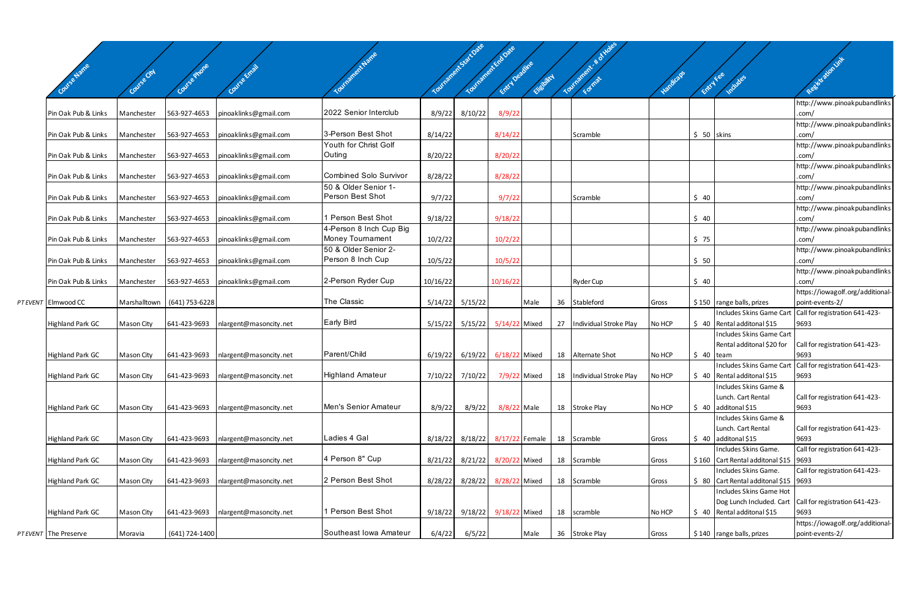| Covise Name             | Covies City |                             |                        |                                             |          | Tourisments-sattowe | Tourished Date<br>Entry Decime | Elisbitch |    | <b>ANDRES</b><br>Touranter # of | Vandicaps | Entry Fee   | Includes                                                                    | Resistation int                                     |
|-------------------------|-------------|-----------------------------|------------------------|---------------------------------------------|----------|---------------------|--------------------------------|-----------|----|---------------------------------|-----------|-------------|-----------------------------------------------------------------------------|-----------------------------------------------------|
|                         |             |                             |                        |                                             |          |                     |                                |           |    |                                 |           |             |                                                                             | http://www.pinoakpubandlinks                        |
| Pin Oak Pub & Links     | Manchester  | 563-927-4653                | pinoaklinks@gmail.com  | 2022 Senior Interclub                       | 8/9/22   | 8/10/22             | 8/9/22                         |           |    |                                 |           |             |                                                                             | .com/                                               |
| Pin Oak Pub & Links     | Manchester  | 563-927-4653                | pinoaklinks@gmail.com  | 3-Person Best Shot                          | 8/14/22  |                     | 8/14/22                        |           |    | Scramble                        |           | $$50$ skins |                                                                             | http://www.pinoakpubandlinks<br>.com/               |
| Pin Oak Pub & Links     | Manchester  | 563-927-4653                | pinoaklinks@gmail.com  | Youth for Christ Golf<br>Outing             | 8/20/22  |                     | 8/20/22                        |           |    |                                 |           |             |                                                                             | http://www.pinoakpubandlinks<br>.com/               |
| Pin Oak Pub & Links     | Manchester  | 563-927-4653                | pinoaklinks@gmail.com  | Combined Solo Survivor                      | 8/28/22  |                     | 8/28/22                        |           |    |                                 |           |             |                                                                             | http://www.pinoakpubandlinks<br>.com/               |
| Pin Oak Pub & Links     | Manchester  | 563-927-4653                | pinoaklinks@gmail.com  | 50 & Older Senior 1-<br>Person Best Shot    | 9/7/22   |                     | 9/7/22                         |           |    | Scramble                        |           | \$40        |                                                                             | http://www.pinoakpubandlinks<br>.com/               |
| Pin Oak Pub & Links     | Manchester  | 563-927-4653                | pinoaklinks@gmail.com  | 1 Person Best Shot                          | 9/18/22  |                     | 9/18/22                        |           |    |                                 |           | \$40        |                                                                             | http://www.pinoakpubandlinks<br>com/                |
|                         |             |                             |                        | 4-Person 8 Inch Cup Big<br>Money Tournament |          |                     |                                |           |    |                                 |           |             |                                                                             | http://www.pinoakpubandlinks                        |
| Pin Oak Pub & Links     | Manchester  | 563-927-4653                | pinoaklinks@gmail.com  | 50 & Older Senior 2-                        | 10/2/22  |                     | 10/2/22                        |           |    |                                 |           | \$75        |                                                                             | .com/<br>http://www.pinoakpubandlinks               |
| Pin Oak Pub & Links     | Manchester  | 563-927-4653                | pinoaklinks@gmail.com  | Person 8 Inch Cup                           | 10/5/22  |                     | 10/5/22                        |           |    |                                 |           | \$50        |                                                                             | .com/<br>http://www.pinoakpubandlinks               |
| Pin Oak Pub & Links     | Manchester  | 563-927-4653                | pinoaklinks@gmail.com  | 2-Person Ryder Cup                          | 10/16/22 |                     | 10/16/22                       |           |    | <b>Ryder Cup</b>                |           | \$40        |                                                                             | .com/                                               |
| PT EVENT Elmwood CC     |             | Marshalltown (641) 753-6228 |                        | The Classic                                 |          | $5/14/22$ $5/15/22$ |                                | Male      | 36 | Stableford                      | Gross     |             | $$150$ range balls, prizes                                                  | https://iowagolf.org/additional-<br>point-events-2/ |
|                         |             |                             |                        |                                             |          |                     |                                |           |    |                                 |           |             | Includes Skins Game Cart                                                    | Call for registration 641-423-                      |
| <b>Highland Park GC</b> | Mason City  | 641-423-9693                | nlargent@masoncity.net | <b>Early Bird</b>                           |          | $5/15/22$ $5/15/22$ | 5/14/22 Mixed                  |           | 27 | Individual Stroke Play          | No HCP    |             | $\frac{1}{2}$ 40 Rental additonal \$15<br>Includes Skins Game Cart          | 9693                                                |
|                         |             |                             |                        |                                             |          |                     |                                |           |    |                                 |           |             | Rental additonal \$20 for                                                   | Call for registration 641-423-                      |
| <b>Highland Park GC</b> | Mason City  | 641-423-9693                | nlargent@masoncity.net | Parent/Child                                |          | $6/19/22$ $6/19/22$ | 6/18/22 Mixed                  |           |    | 18 Alternate Shot               | No HCP    | $$40$ team  |                                                                             | 9693                                                |
| <b>Highland Park GC</b> | Mason City  | 641-423-9693                | nlargent@masoncity.net | <b>Highland Amateur</b>                     |          |                     | 7/10/22 7/10/22 7/9/22 Mixed   |           |    | 18 Individual Stroke Play       | No HCP    |             | Includes Skins Game Cart<br>$\frac{1}{2}$ 40 Rental additonal \$15          | Call for registration 641-423-<br>9693              |
|                         |             |                             |                        |                                             |          |                     |                                |           |    |                                 |           |             | Includes Skins Game &                                                       |                                                     |
|                         |             |                             |                        |                                             |          |                     |                                |           |    |                                 |           |             | Lunch. Cart Rental                                                          | Call for registration 641-423-                      |
| <b>Highland Park GC</b> | Mason City  | 641-423-9693                | nlargent@masoncity.net | Men's Senior Amateur                        | 8/9/22   | 8/9/22              | 8/8/22 Male                    |           |    | 18 Stroke Play                  | No HCP    |             | $\frac{1}{2}$ 40 additonal \$15                                             | 9693                                                |
|                         |             |                             |                        |                                             |          |                     |                                |           |    |                                 |           |             | Includes Skins Game &                                                       |                                                     |
| <b>Highland Park GC</b> | Mason City  | 641-423-9693                | nlargent@masoncity.net | Ladies 4 Gal                                | 8/18/22  | 8/18/22             | 8/17/22 Female                 |           |    | 18 Scramble                     | Gross     |             | Lunch. Cart Rental<br>$\frac{1}{2}$ 40 additonal \$15                       | Call for registration 641-423-<br>9693              |
|                         |             |                             |                        |                                             |          |                     |                                |           |    |                                 |           |             | Includes Skins Game.                                                        | Call for registration 641-423-                      |
| <b>Highland Park GC</b> | Mason City  | 641-423-9693                | nlargent@masoncity.net | 4 Person 8" Cup                             | 8/21/22  | 8/21/22             | 8/20/22 Mixed                  |           |    | 18 Scramble                     | Gross     |             | $$160$ Cart Rental additonal \$15 9693                                      |                                                     |
|                         |             |                             |                        | 2 Person Best Shot                          |          |                     |                                |           |    |                                 |           |             | Includes Skins Game.                                                        | Call for registration 641-423-                      |
| <b>Highland Park GC</b> | Mason City  | 641-423-9693                | nlargent@masoncity.net |                                             | 8/28/22  | 8/28/22             | 8/28/22 Mixed                  |           |    | 18 Scramble                     | Gross     |             | $\frac{1}{2}$ 80 Cart Rental additonal \$15 9693<br>Includes Skins Game Hot |                                                     |
|                         |             |                             |                        |                                             |          |                     |                                |           |    |                                 |           |             | Dog Lunch Included. Cart                                                    | Call for registration 641-423-                      |
| <b>Highland Park GC</b> | Mason City  | 641-423-9693                | nlargent@masoncity.net | 1 Person Best Shot                          |          |                     | 9/18/22 9/18/22 9/18/22 Mixed  |           |    | 18 scramble                     | No HCP    |             | $\frac{1}{2}$ 40 Rental additonal \$15                                      | 9693                                                |
|                         |             |                             |                        | Southeast Iowa Amateur                      |          |                     |                                |           |    |                                 |           |             |                                                                             | https://iowagolf.org/additional-                    |
| PT EVENT The Preserve   | Moravia     | (641) 724-1400              |                        |                                             | 6/4/22   | 6/5/22              |                                | Male      |    | 36 Stroke Play                  | Gross     |             | \$140 range balls, prizes                                                   | point-events-2/                                     |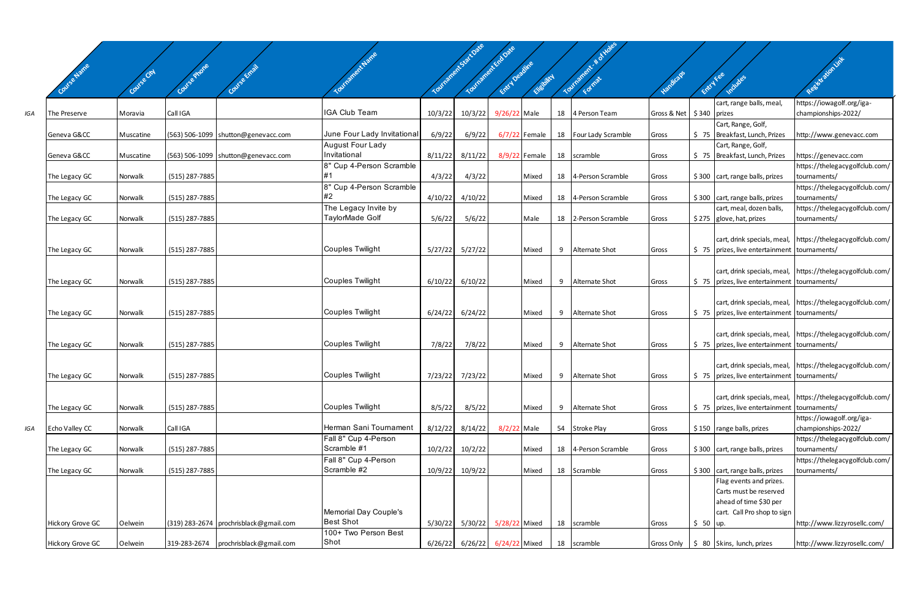|     |                         |             |                |                                          | Inanent Name                                           |         | Yourisment-Sattore<br>Tourante K Endoare | Entry Deadline        |                 |    | Tourisment & Hotel    |                              |           |                                                             | Registration int                                           |
|-----|-------------------------|-------------|----------------|------------------------------------------|--------------------------------------------------------|---------|------------------------------------------|-----------------------|-----------------|----|-----------------------|------------------------------|-----------|-------------------------------------------------------------|------------------------------------------------------------|
|     | <b>Mise Name</b>        | Course City | Course Phone   |                                          |                                                        |         |                                          |                       | Elisabitch      |    |                       |                              |           | Entry Fee<br>Includes                                       |                                                            |
|     |                         |             |                |                                          |                                                        |         |                                          |                       |                 |    |                       |                              |           | cart, range balls, meal                                     | https://iowagolf.org/iga-                                  |
| IGA | The Preserve            | Moravia     | Call IGA       |                                          | <b>IGA Club Team</b>                                   | 10/3/22 | 10/3/22                                  | 9/26/22 Male          |                 |    | 18 4 Person Team      | Gross & Net   \$340   prizes |           |                                                             | championships-2022/                                        |
|     |                         |             |                |                                          |                                                        |         |                                          |                       |                 |    |                       |                              |           | Cart, Range, Golf,                                          |                                                            |
|     | Geneva G&CC             | Muscatine   |                | (563) 506-1099 shutton@genevacc.com      | June Four Lady Invitational<br><b>August Four Lady</b> | 6/9/22  | 6/9/22                                   |                       | $6/7/22$ Female |    | 18 Four Lady Scramble | Gross                        |           | \$75 Breakfast, Lunch, Prizes                               | http://www.genevacc.com                                    |
|     | Geneva G&CC             | Muscatine   |                | $(563)$ 506-1099 shutton@genevacc.com    | Invitational                                           | 8/11/22 | 8/11/22                                  |                       | 8/9/22 Female   |    | 18 scramble           | Gross                        |           | Cart, Range, Golf,<br>\$75   Breakfast, Lunch, Prizes       | https://genevacc.com                                       |
|     |                         |             |                |                                          | 8" Cup 4-Person Scramble                               |         |                                          |                       |                 |    |                       |                              |           |                                                             | https://thelegacygolfclub.com/                             |
|     | The Legacy GC           | Norwalk     | (515) 287-7885 |                                          |                                                        | 4/3/22  | 4/3/22                                   |                       | Mixed           |    | 18 4-Person Scramble  | Gross                        |           | \$300 cart, range balls, prizes                             | tournaments/                                               |
|     |                         |             |                |                                          | 8" Cup 4-Person Scramble<br>#2                         |         |                                          |                       |                 |    |                       |                              |           |                                                             | https://thelegacygolfclub.com/                             |
|     | The Legacy GC           | Norwalk     | (515) 287-7885 |                                          | The Legacy Invite by                                   | 4/10/22 | 4/10/22                                  |                       | Mixed           |    | 18 4-Person Scramble  | Gross                        |           | \$300 cart, range balls, prizes<br>cart, meal, dozen balls, | tournaments/<br>https://thelegacygolfclub.com/             |
|     | The Legacy GC           | Norwalk     | (515) 287-7885 |                                          | TaylorMade Golf                                        | 5/6/22  | 5/6/22                                   |                       | Male            |    | 18 2-Person Scramble  | Gross                        |           | \$275 glove, hat, prizes                                    | tournaments/                                               |
|     |                         |             |                |                                          |                                                        |         |                                          |                       |                 |    |                       |                              |           |                                                             |                                                            |
|     |                         |             |                |                                          | Couples Twilight                                       |         |                                          |                       |                 |    |                       |                              |           |                                                             | cart, drink specials, meal, https://thelegacygolfclub.com/ |
|     | The Legacy GC           | Norwalk     | (515) 287-7885 |                                          |                                                        | 5/27/22 | 5/27/22                                  |                       | Mixed           | 9  | Alternate Shot        | Gross                        |           | \$75   prizes, live entertainment   tournaments/            |                                                            |
|     |                         |             |                |                                          |                                                        |         |                                          |                       |                 |    |                       |                              |           |                                                             | cart, drink specials, meal, https://thelegacygolfclub.com/ |
|     | The Legacy GC           | Norwalk     | (515) 287-7885 |                                          | <b>Couples Twilight</b>                                | 6/10/22 | 6/10/22                                  |                       | Mixed           | 9  | Alternate Shot        | Gross                        |           | \$75   prizes, live entertainment   tournaments/            |                                                            |
|     |                         |             |                |                                          |                                                        |         |                                          |                       |                 |    |                       |                              |           |                                                             |                                                            |
|     | The Legacy GC           | Norwalk     | (515) 287-7885 |                                          | <b>Couples Twilight</b>                                | 6/24/22 | 6/24/22                                  |                       | Mixed           | 9  | Alternate Shot        | Gross                        |           | \$75   prizes, live entertainment   tournaments/            | cart, drink specials, meal, https://thelegacygolfclub.com/ |
|     |                         |             |                |                                          |                                                        |         |                                          |                       |                 |    |                       |                              |           |                                                             |                                                            |
|     |                         |             |                |                                          |                                                        |         |                                          |                       |                 |    |                       |                              |           |                                                             | cart, drink specials, meal, https://thelegacygolfclub.com/ |
|     | The Legacy GC           | Norwalk     | (515) 287-7885 |                                          | <b>Couples Twilight</b>                                | 7/8/22  | 7/8/22                                   |                       | Mixed           | 9  | Alternate Shot        | Gross                        |           | \$75   prizes, live entertainment   tournaments/            |                                                            |
|     |                         |             |                |                                          |                                                        |         |                                          |                       |                 |    |                       |                              |           |                                                             | cart, drink specials, meal, https://thelegacygolfclub.com/ |
|     | The Legacy GC           | Norwalk     | (515) 287-7885 |                                          | Couples Twilight                                       |         | 7/23/22 7/23/22                          |                       | Mixed           |    | 9 Alternate Shot      | Gross                        |           | $\frac{1}{2}$ 5 prizes, live entertainment tournaments/     |                                                            |
|     |                         |             |                |                                          |                                                        |         |                                          |                       |                 |    |                       |                              |           |                                                             |                                                            |
|     |                         |             |                |                                          | <b>Couples Twilight</b>                                |         |                                          |                       |                 |    |                       |                              |           |                                                             | cart, drink specials, meal, https://thelegacygolfclub.com/ |
|     | The Legacy GC           | Norwalk     | (515) 287-7885 |                                          |                                                        | 8/5/22  | 8/5/22                                   |                       | Mixed           | 9  | Alternate Shot        | Gross                        |           | \$75   prizes, live entertainment   tournaments/            | https://iowagolf.org/iga-                                  |
| IGA | Echo Valley CC          | Norwalk     | Call IGA       |                                          | Herman Sani Tournament                                 | 8/12/22 | 8/14/22                                  | 8/2/22 Male           |                 | 54 | Stroke Play           | Gross                        |           | \$150 range balls, prizes                                   | championships-2022/                                        |
|     |                         |             |                |                                          | Fall 8" Cup 4-Person                                   |         |                                          |                       |                 |    |                       |                              |           |                                                             | https://thelegacygolfclub.com/                             |
|     | The Legacy GC           | Norwalk     | (515) 287-7885 |                                          | Scramble #1                                            | 10/2/22 | 10/2/22                                  |                       | Mixed           |    | 18 4-Person Scramble  | Gross                        |           | \$300 cart, range balls, prizes                             | tournaments/                                               |
|     | The Legacy GC           | Norwalk     | (515) 287-7885 |                                          | Fall 8" Cup 4-Person<br>Scramble #2                    | 10/9/22 | 10/9/22                                  |                       | Mixed           |    | 18 Scramble           | Gross                        |           | \$300 cart, range balls, prizes                             | https://thelegacygolfclub.com/<br>tournaments/             |
|     |                         |             |                |                                          |                                                        |         |                                          |                       |                 |    |                       |                              |           | Flag events and prizes.                                     |                                                            |
|     |                         |             |                |                                          |                                                        |         |                                          |                       |                 |    |                       |                              |           | Carts must be reserved                                      |                                                            |
|     |                         |             |                |                                          |                                                        |         |                                          |                       |                 |    |                       |                              |           | ahead of time \$30 per                                      |                                                            |
|     |                         |             |                |                                          | Memorial Day Couple's<br><b>Best Shot</b>              |         |                                          |                       |                 |    |                       |                              |           | cart. Call Pro shop to sign                                 |                                                            |
|     | <b>Hickory Grove GC</b> | Oelwein     |                | (319) 283-2674   prochrisblack@gmail.com | 100+ Two Person Best                                   | 5/30/22 |                                          | 5/30/22 5/28/22 Mixed |                 | 18 | scramble              | Gross                        | $$50$ up. |                                                             | http://www.lizzyrosellc.com/                               |
|     | <b>Hickory Grove GC</b> | Oelwein     | 319-283-2674   | prochrisblack@gmail.com                  | Shot                                                   | 6/26/22 |                                          | 6/26/22 6/24/22 Mixed |                 |    | 18 scramble           |                              |           | Gross Only   \$ 80 Skins, lunch, prizes                     | http://www.lizzyrosellc.com/                               |

 $\angle$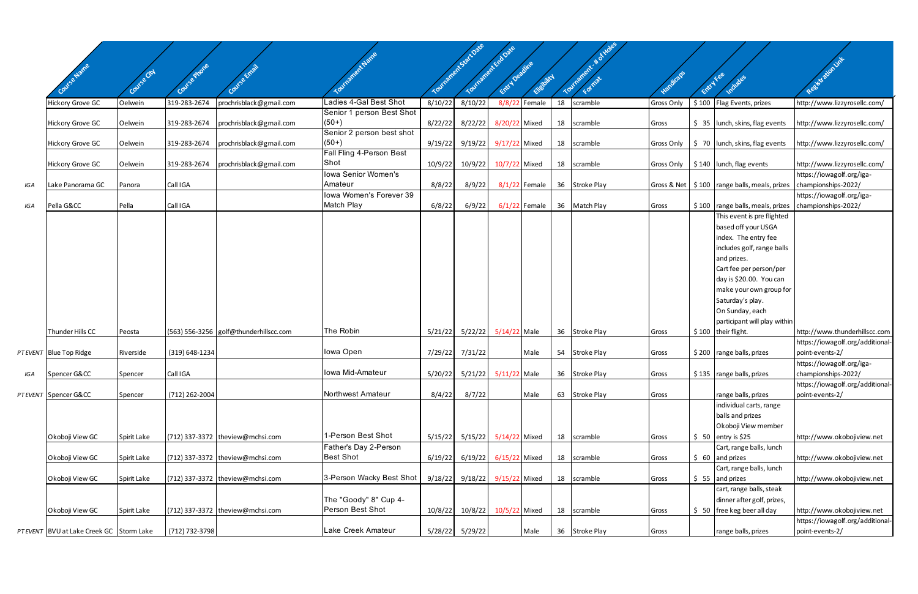|     | Covise Name                              |             |                |                                        |                                       |         | Tourisments for Date | Tourishment Endowe<br>Entry Deadline<br>Elisbitch |    | Tourisment & d | 120 Micros        | Entry Fee |                                                                      | Registration int                                                  |
|-----|------------------------------------------|-------------|----------------|----------------------------------------|---------------------------------------|---------|----------------------|---------------------------------------------------|----|----------------|-------------------|-----------|----------------------------------------------------------------------|-------------------------------------------------------------------|
|     |                                          |             |                |                                        |                                       |         |                      |                                                   |    |                |                   |           |                                                                      |                                                                   |
|     | <b>Hickory Grove GC</b>                  | Oelwein     | 319-283-2674   | prochrisblack@gmail.com                | Ladies 4-Gal Best Shot                | 8/10/22 | 8/10/22              | 8/8/22 Female                                     | 18 | scramble       | <b>Gross Only</b> |           | \$100   Flag Events, prizes                                          | http://www.lizzyrosellc.com/                                      |
|     | <b>Hickory Grove GC</b>                  | Oelwein     | 319-283-2674   | prochrisblack@gmail.com                | Senior 1 person Best Shot<br>$(50+)$  | 8/22/22 | 8/22/22              | 8/20/22 Mixed                                     | 18 | scramble       | Gross             |           | $\frac{1}{2}$ 35   lunch, skins, flag events                         | http://www.lizzyrosellc.com/                                      |
|     | <b>Hickory Grove GC</b>                  | Oelwein     | 319-283-2674   | prochrisblack@gmail.com                | Senior 2 person best shot<br>$(50+)$  |         | 9/19/22 9/19/22      | 9/17/22 Mixed                                     |    | 18 scramble    | Gross Only        |           | $\frac{1}{2}$ 5 70   lunch, skins, flag events                       | http://www.lizzyrosellc.com/                                      |
|     | <b>Hickory Grove GC</b>                  | Oelwein     | 319-283-2674   | prochrisblack@gmail.com                | Fall Fling 4-Person Best<br>Shot      | 10/9/22 | 10/9/22              | 10/7/22 Mixed                                     |    | 18 scramble    | Gross Only        |           | $\frac{1}{2}$ \$140   lunch, flag events                             | http://www.lizzyrosellc.com/                                      |
| IGA | Lake Panorama GC                         | Panora      | Call IGA       |                                        | Iowa Senior Women's<br>Amateur        | 8/8/22  | 8/9/22               | 8/1/22 Female                                     |    | 36 Stroke Play |                   |           | Gross & Net   \$100   range balls, meals, prizes                     | https://iowagolf.org/iga-<br>championships-2022/                  |
| IGA | Pella G&CC                               | Pella       | Call IGA       |                                        | Iowa Women's Forever 39<br>Match Play | 6/8/22  | 6/9/22               | $6/1/22$ Female                                   |    | 36 Match Play  | Gross             |           | $$100$ range balls, meals, prizes                                    | https://iowagolf.org/iga-<br>championships-2022/                  |
|     |                                          |             |                |                                        |                                       |         |                      |                                                   |    |                |                   |           | This event is pre flighted                                           |                                                                   |
|     |                                          |             |                |                                        |                                       |         |                      |                                                   |    |                |                   |           | based off your USGA                                                  |                                                                   |
|     |                                          |             |                |                                        |                                       |         |                      |                                                   |    |                |                   |           | index. The entry fee                                                 |                                                                   |
|     |                                          |             |                |                                        |                                       |         |                      |                                                   |    |                |                   |           | includes golf, range balls                                           |                                                                   |
|     |                                          |             |                |                                        |                                       |         |                      |                                                   |    |                |                   |           | and prizes.                                                          |                                                                   |
|     |                                          |             |                |                                        |                                       |         |                      |                                                   |    |                |                   |           | Cart fee per person/per                                              |                                                                   |
|     |                                          |             |                |                                        |                                       |         |                      |                                                   |    |                |                   |           | day is \$20.00. You can                                              |                                                                   |
|     |                                          |             |                |                                        |                                       |         |                      |                                                   |    |                |                   |           | make your own group for                                              |                                                                   |
|     |                                          |             |                |                                        |                                       |         |                      |                                                   |    |                |                   |           | Saturday's play.                                                     |                                                                   |
|     |                                          |             |                |                                        |                                       |         |                      |                                                   |    |                |                   |           | On Sunday, each                                                      |                                                                   |
|     |                                          |             |                |                                        | The Robin                             |         |                      |                                                   |    |                |                   |           | participant will play within                                         |                                                                   |
|     | Thunder Hills CC                         | Peosta      |                | (563) 556-3256 golf@thunderhillscc.com |                                       |         |                      | 5/21/22 5/22/22 5/14/22 Male                      |    | 36 Stroke Play | Gross             |           | $\frac{1}{2}$ 100 their flight.                                      | http://www.thunderhillscc.com<br>https://iowagolf.org/additional- |
|     | PT EVENT Blue Top Ridge                  | Riverside   | (319) 648-1234 |                                        | Iowa Open                             |         | 7/29/22 7/31/22      | Male                                              |    | 54 Stroke Play | Gross             |           | \$200 range balls, prizes                                            | point-events-2/                                                   |
|     |                                          |             |                |                                        |                                       |         |                      |                                                   |    |                |                   |           |                                                                      | https://iowagolf.org/iga-                                         |
| IGA | Spencer G&CC                             | Spencer     | Call IGA       |                                        | Iowa Mid-Amateur                      |         |                      | 5/20/22 5/21/22 5/11/22 Male                      |    | 36 Stroke Play | Gross             |           | $\frac{1}{2}$ \$135   range balls, prizes                            | championships-2022/                                               |
|     |                                          |             |                |                                        |                                       |         |                      |                                                   |    |                |                   |           |                                                                      | https://iowagolf.org/additional-                                  |
|     | PT EVENT Spencer G&CC                    | Spencer     | (712) 262-2004 |                                        | Northwest Amateur                     | 8/4/22  | 8/7/22               | Male                                              |    | 63 Stroke Play | Gross             |           | range balls, prizes                                                  | point-events-2/                                                   |
|     |                                          |             |                |                                        |                                       |         |                      |                                                   |    |                |                   |           | individual carts, range                                              |                                                                   |
|     |                                          |             |                |                                        |                                       |         |                      |                                                   |    |                |                   |           | balls and prizes                                                     |                                                                   |
|     |                                          |             |                |                                        |                                       |         |                      |                                                   |    |                |                   |           | Okoboji View member                                                  |                                                                   |
|     | Okoboji View GC                          | Spirit Lake |                | (712) 337-3372 theview@mchsi.com       | 1-Person Best Shot                    |         |                      | 5/15/22 5/15/22 5/14/22 Mixed                     | 18 | scramble       | Gross             |           | $\frac{1}{2}$ 50 entry is \$25                                       | http://www.okobojiview.net                                        |
|     |                                          |             |                |                                        | Father's Day 2-Person                 |         |                      |                                                   |    |                |                   |           | Cart, range balls, lunch                                             |                                                                   |
|     | Okoboji View GC                          | Spirit Lake |                | (712) 337-3372 theview@mchsi.com       | <b>Best Shot</b>                      | 6/19/22 |                      | 6/19/22 6/15/22 Mixed                             |    | 18 scramble    | Gross             |           | $\frac{1}{2}$ 60 and prizes                                          | http://www.okobojiview.net                                        |
|     |                                          |             |                |                                        |                                       |         |                      |                                                   |    |                |                   |           | Cart, range balls, lunch                                             |                                                                   |
|     | Okoboji View GC                          | Spirit Lake |                | (712) 337-3372 theview@mchsi.com       | 3-Person Wacky Best Shot              |         | 9/18/22 9/18/22      | 9/15/22 Mixed                                     |    | 18 scramble    | Gross             |           | $\frac{1}{2}$ 55 and prizes                                          | http://www.okobojiview.net                                        |
|     |                                          |             |                |                                        | The "Goody" 8" Cup 4-                 |         |                      |                                                   |    |                |                   |           | cart, range balls, steak                                             |                                                                   |
|     | Okoboji View GC                          | Spirit Lake |                | $(712)$ 337-3372   theview@mchsi.com   | Person Best Shot                      | 10/8/22 | 10/8/22              | 10/5/22 Mixed                                     |    | 18 scramble    | Gross             |           | dinner after golf, prizes,<br>$\frac{1}{2}$ 50 free keg beer all day | http://www.okobojiview.net                                        |
|     |                                          |             |                |                                        |                                       |         |                      |                                                   |    |                |                   |           |                                                                      | https://iowagolf.org/additional-                                  |
|     | PT EVENT BVU at Lake Creek GC Storm Lake |             | (712) 732-3798 |                                        | Lake Creek Amateur                    |         | 5/28/22 5/29/22      | Male                                              |    | 36 Stroke Play | Gross             |           | range balls, prizes                                                  | point-events-2/                                                   |
|     |                                          |             |                |                                        |                                       |         |                      |                                                   |    |                |                   |           |                                                                      |                                                                   |